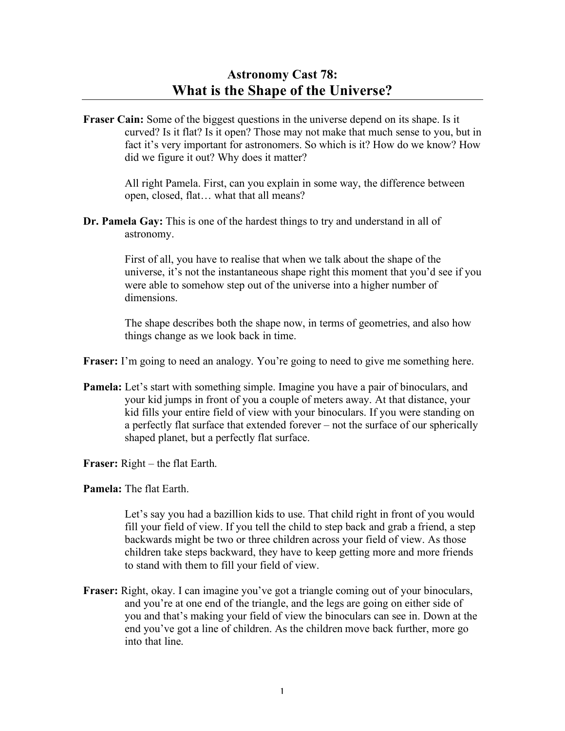**Fraser Cain:** Some of the biggest questions in the universe depend on its shape. Is it curved? Is it flat? Is it open? Those may not make that much sense to you, but in fact it's very important for astronomers. So which is it? How do we know? How did we figure it out? Why does it matter?

> All right Pamela. First, can you explain in some way, the difference between open, closed, flat… what that all means?

**Dr. Pamela Gay:** This is one of the hardest things to try and understand in all of astronomy.

> First of all, you have to realise that when we talk about the shape of the universe, it's not the instantaneous shape right this moment that you'd see if you were able to somehow step out of the universe into a higher number of dimensions.

The shape describes both the shape now, in terms of geometries, and also how things change as we look back in time.

**Fraser:** I'm going to need an analogy. You're going to need to give me something here.

- **Pamela:** Let's start with something simple. Imagine you have a pair of binoculars, and your kid jumps in front of you a couple of meters away. At that distance, your kid fills your entire field of view with your binoculars. If you were standing on a perfectly flat surface that extended forever – not the surface of our spherically shaped planet, but a perfectly flat surface.
- **Fraser:** Right the flat Earth.
- **Pamela:** The flat Earth.

Let's say you had a bazillion kids to use. That child right in front of you would fill your field of view. If you tell the child to step back and grab a friend, a step backwards might be two or three children across your field of view. As those children take steps backward, they have to keep getting more and more friends to stand with them to fill your field of view.

**Fraser:** Right, okay. I can imagine you've got a triangle coming out of your binoculars, and you're at one end of the triangle, and the legs are going on either side of you and that's making your field of view the binoculars can see in. Down at the end you've got a line of children. As the children move back further, more go into that line.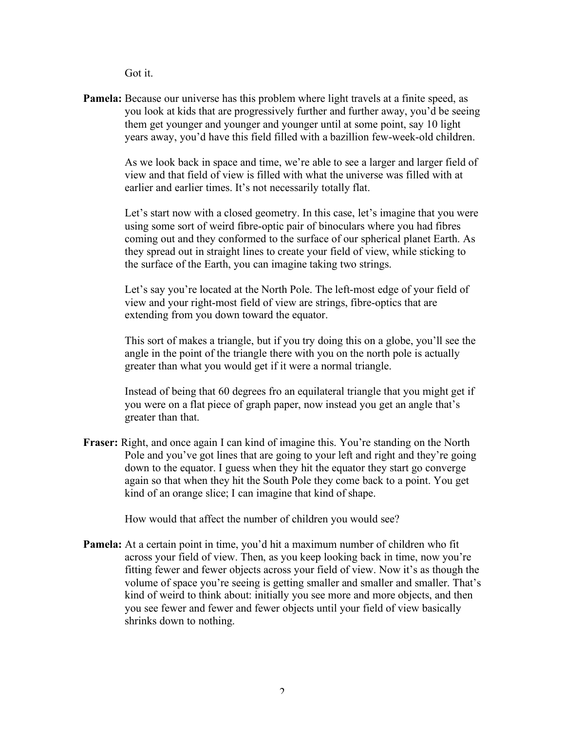Got it.

**Pamela:** Because our universe has this problem where light travels at a finite speed, as you look at kids that are progressively further and further away, you'd be seeing them get younger and younger and younger until at some point, say 10 light years away, you'd have this field filled with a bazillion few-week-old children.

> As we look back in space and time, we're able to see a larger and larger field of view and that field of view is filled with what the universe was filled with at earlier and earlier times. It's not necessarily totally flat.

> Let's start now with a closed geometry. In this case, let's imagine that you were using some sort of weird fibre-optic pair of binoculars where you had fibres coming out and they conformed to the surface of our spherical planet Earth. As they spread out in straight lines to create your field of view, while sticking to the surface of the Earth, you can imagine taking two strings.

Let's say you're located at the North Pole. The left-most edge of your field of view and your right-most field of view are strings, fibre-optics that are extending from you down toward the equator.

This sort of makes a triangle, but if you try doing this on a globe, you'll see the angle in the point of the triangle there with you on the north pole is actually greater than what you would get if it were a normal triangle.

Instead of being that 60 degrees fro an equilateral triangle that you might get if you were on a flat piece of graph paper, now instead you get an angle that's greater than that.

**Fraser:** Right, and once again I can kind of imagine this. You're standing on the North Pole and you've got lines that are going to your left and right and they're going down to the equator. I guess when they hit the equator they start go converge again so that when they hit the South Pole they come back to a point. You get kind of an orange slice; I can imagine that kind of shape.

How would that affect the number of children you would see?

**Pamela:** At a certain point in time, you'd hit a maximum number of children who fit across your field of view. Then, as you keep looking back in time, now you're fitting fewer and fewer objects across your field of view. Now it's as though the volume of space you're seeing is getting smaller and smaller and smaller. That's kind of weird to think about: initially you see more and more objects, and then you see fewer and fewer and fewer objects until your field of view basically shrinks down to nothing.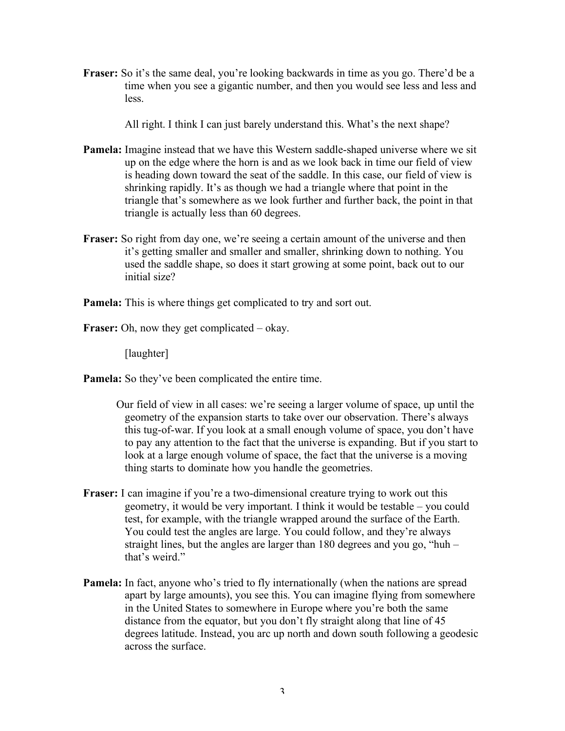**Fraser:** So it's the same deal, you're looking backwards in time as you go. There'd be a time when you see a gigantic number, and then you would see less and less and less.

All right. I think I can just barely understand this. What's the next shape?

- **Pamela:** Imagine instead that we have this Western saddle-shaped universe where we sit up on the edge where the horn is and as we look back in time our field of view is heading down toward the seat of the saddle. In this case, our field of view is shrinking rapidly. It's as though we had a triangle where that point in the triangle that's somewhere as we look further and further back, the point in that triangle is actually less than 60 degrees.
- **Fraser:** So right from day one, we're seeing a certain amount of the universe and then it's getting smaller and smaller and smaller, shrinking down to nothing. You used the saddle shape, so does it start growing at some point, back out to our initial size?
- **Pamela:** This is where things get complicated to try and sort out.
- **Fraser:** Oh, now they get complicated okay.

[laughter]

**Pamela:** So they've been complicated the entire time.

- Our field of view in all cases: we're seeing a larger volume of space, up until the geometry of the expansion starts to take over our observation. There's always this tug-of-war. If you look at a small enough volume of space, you don't have to pay any attention to the fact that the universe is expanding. But if you start to look at a large enough volume of space, the fact that the universe is a moving thing starts to dominate how you handle the geometries.
- **Fraser:** I can imagine if you're a two-dimensional creature trying to work out this geometry, it would be very important. I think it would be testable – you could test, for example, with the triangle wrapped around the surface of the Earth. You could test the angles are large. You could follow, and they're always straight lines, but the angles are larger than 180 degrees and you go, "huh – that's weird."
- **Pamela:** In fact, anyone who's tried to fly internationally (when the nations are spread apart by large amounts), you see this. You can imagine flying from somewhere in the United States to somewhere in Europe where you're both the same distance from the equator, but you don't fly straight along that line of 45 degrees latitude. Instead, you arc up north and down south following a geodesic across the surface.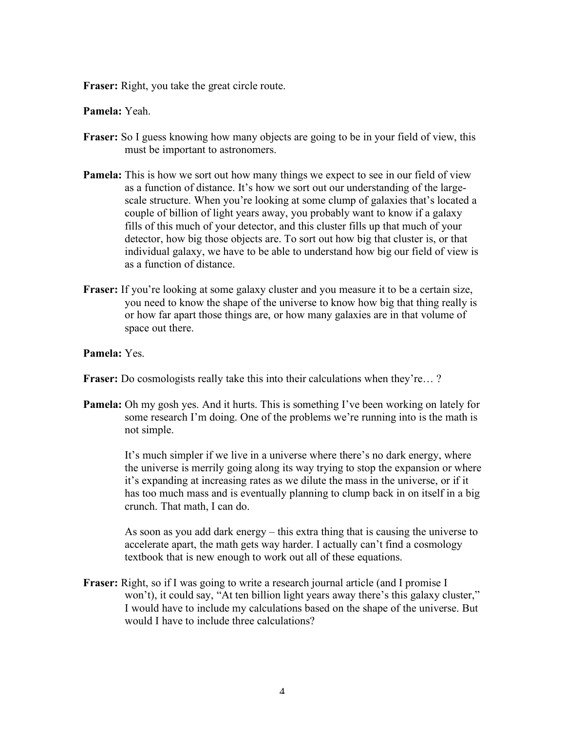**Fraser:** Right, you take the great circle route.

## **Pamela:** Yeah.

- **Fraser:** So I guess knowing how many objects are going to be in your field of view, this must be important to astronomers.
- **Pamela:** This is how we sort out how many things we expect to see in our field of view as a function of distance. It's how we sort out our understanding of the largescale structure. When you're looking at some clump of galaxies that's located a couple of billion of light years away, you probably want to know if a galaxy fills of this much of your detector, and this cluster fills up that much of your detector, how big those objects are. To sort out how big that cluster is, or that individual galaxy, we have to be able to understand how big our field of view is as a function of distance.
- **Fraser:** If you're looking at some galaxy cluster and you measure it to be a certain size, you need to know the shape of the universe to know how big that thing really is or how far apart those things are, or how many galaxies are in that volume of space out there.

## **Pamela:** Yes.

**Fraser:** Do cosmologists really take this into their calculations when they're… ?

**Pamela:** Oh my gosh yes. And it hurts. This is something I've been working on lately for some research I'm doing. One of the problems we're running into is the math is not simple.

> It's much simpler if we live in a universe where there's no dark energy, where the universe is merrily going along its way trying to stop the expansion or where it's expanding at increasing rates as we dilute the mass in the universe, or if it has too much mass and is eventually planning to clump back in on itself in a big crunch. That math, I can do.

> As soon as you add dark energy – this extra thing that is causing the universe to accelerate apart, the math gets way harder. I actually can't find a cosmology textbook that is new enough to work out all of these equations.

**Fraser:** Right, so if I was going to write a research journal article (and I promise I won't), it could say, "At ten billion light years away there's this galaxy cluster," I would have to include my calculations based on the shape of the universe. But would I have to include three calculations?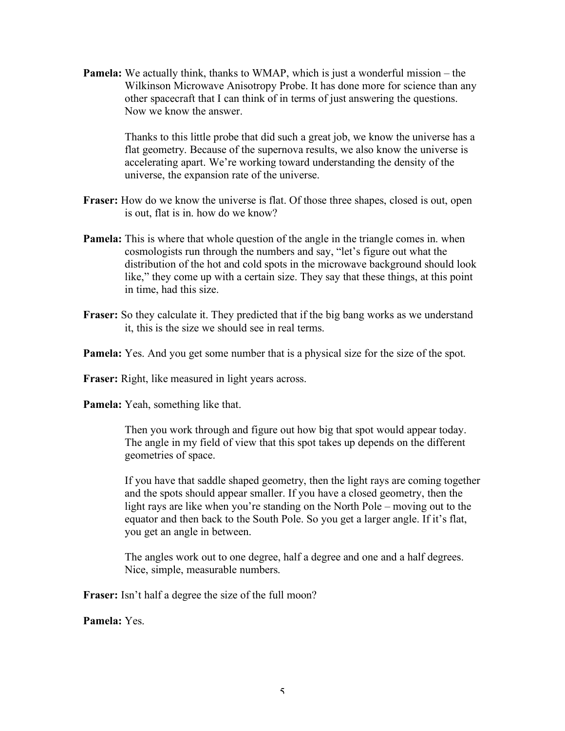**Pamela:** We actually think, thanks to WMAP, which is just a wonderful mission – the Wilkinson Microwave Anisotropy Probe. It has done more for science than any other spacecraft that I can think of in terms of just answering the questions. Now we know the answer.

> Thanks to this little probe that did such a great job, we know the universe has a flat geometry. Because of the supernova results, we also know the universe is accelerating apart. We're working toward understanding the density of the universe, the expansion rate of the universe.

- **Fraser:** How do we know the universe is flat. Of those three shapes, closed is out, open is out, flat is in. how do we know?
- **Pamela:** This is where that whole question of the angle in the triangle comes in. when cosmologists run through the numbers and say, "let's figure out what the distribution of the hot and cold spots in the microwave background should look like," they come up with a certain size. They say that these things, at this point in time, had this size.
- **Fraser:** So they calculate it. They predicted that if the big bang works as we understand it, this is the size we should see in real terms.
- **Pamela:** Yes. And you get some number that is a physical size for the size of the spot.

**Fraser:** Right, like measured in light years across.

**Pamela:** Yeah, something like that.

Then you work through and figure out how big that spot would appear today. The angle in my field of view that this spot takes up depends on the different geometries of space.

If you have that saddle shaped geometry, then the light rays are coming together and the spots should appear smaller. If you have a closed geometry, then the light rays are like when you're standing on the North Pole – moving out to the equator and then back to the South Pole. So you get a larger angle. If it's flat, you get an angle in between.

The angles work out to one degree, half a degree and one and a half degrees. Nice, simple, measurable numbers.

**Fraser:** Isn't half a degree the size of the full moon?

**Pamela:** Yes.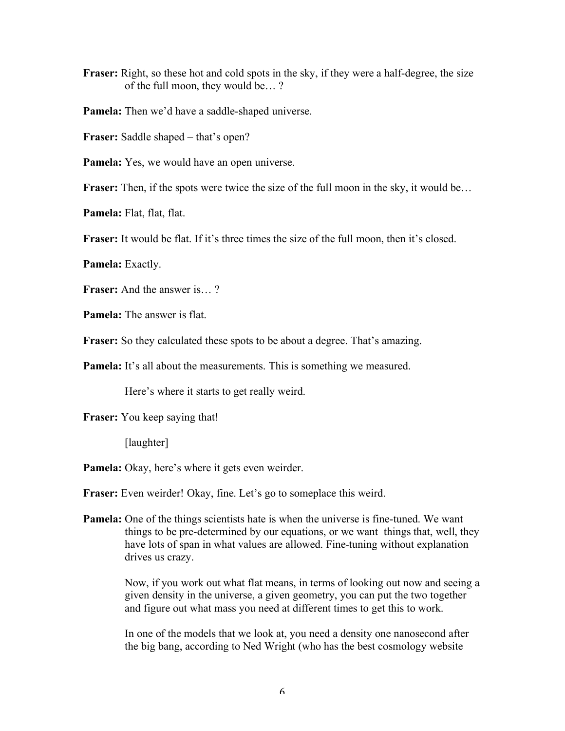**Fraser:** Right, so these hot and cold spots in the sky, if they were a half-degree, the size of the full moon, they would be… ?

**Pamela:** Then we'd have a saddle-shaped universe.

**Fraser:** Saddle shaped – that's open?

**Pamela:** Yes, we would have an open universe.

**Fraser:** Then, if the spots were twice the size of the full moon in the sky, it would be...

**Pamela:** Flat, flat, flat.

**Fraser:** It would be flat. If it's three times the size of the full moon, then it's closed.

**Pamela:** Exactly.

**Fraser:** And the answer is… ?

**Pamela:** The answer is flat.

**Fraser:** So they calculated these spots to be about a degree. That's amazing.

**Pamela:** It's all about the measurements. This is something we measured.

Here's where it starts to get really weird.

**Fraser:** You keep saying that!

[laughter]

**Pamela:** Okay, here's where it gets even weirder.

**Fraser:** Even weirder! Okay, fine. Let's go to someplace this weird.

**Pamela:** One of the things scientists hate is when the universe is fine-tuned. We want things to be pre-determined by our equations, or we want things that, well, they have lots of span in what values are allowed. Fine-tuning without explanation drives us crazy.

> Now, if you work out what flat means, in terms of looking out now and seeing a given density in the universe, a given geometry, you can put the two together and figure out what mass you need at different times to get this to work.

In one of the models that we look at, you need a density one nanosecond after the big bang, according to Ned Wright (who has the best cosmology website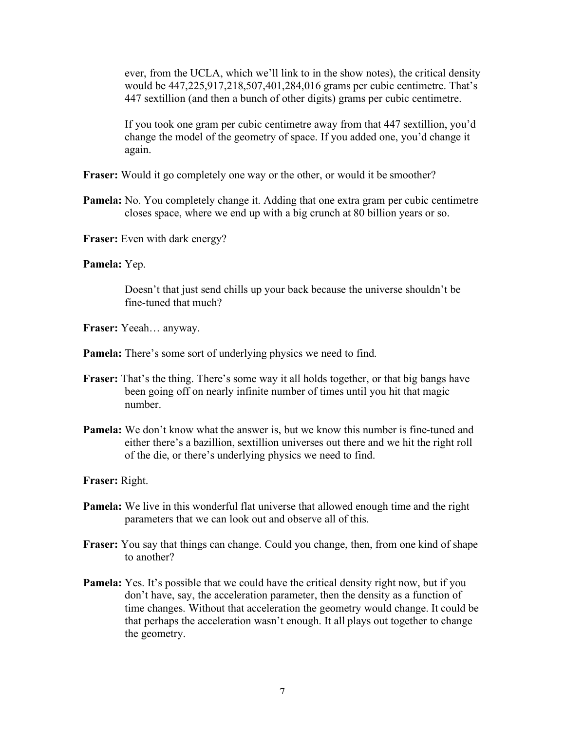ever, from the UCLA, which we'll link to in the show notes), the critical density would be 447,225,917,218,507,401,284,016 grams per cubic centimetre. That's 447 sextillion (and then a bunch of other digits) grams per cubic centimetre.

If you took one gram per cubic centimetre away from that 447 sextillion, you'd change the model of the geometry of space. If you added one, you'd change it again.

- **Fraser:** Would it go completely one way or the other, or would it be smoother?
- **Pamela:** No. You completely change it. Adding that one extra gram per cubic centimetre closes space, where we end up with a big crunch at 80 billion years or so.
- **Fraser:** Even with dark energy?

## **Pamela:** Yep.

Doesn't that just send chills up your back because the universe shouldn't be fine-tuned that much?

- **Fraser:** Yeeah… anyway.
- **Pamela:** There's some sort of underlying physics we need to find.
- **Fraser:** That's the thing. There's some way it all holds together, or that big bangs have been going off on nearly infinite number of times until you hit that magic number.
- **Pamela:** We don't know what the answer is, but we know this number is fine-tuned and either there's a bazillion, sextillion universes out there and we hit the right roll of the die, or there's underlying physics we need to find.

**Fraser:** Right.

- **Pamela:** We live in this wonderful flat universe that allowed enough time and the right parameters that we can look out and observe all of this.
- **Fraser:** You say that things can change. Could you change, then, from one kind of shape to another?
- **Pamela:** Yes. It's possible that we could have the critical density right now, but if you don't have, say, the acceleration parameter, then the density as a function of time changes. Without that acceleration the geometry would change. It could be that perhaps the acceleration wasn't enough. It all plays out together to change the geometry.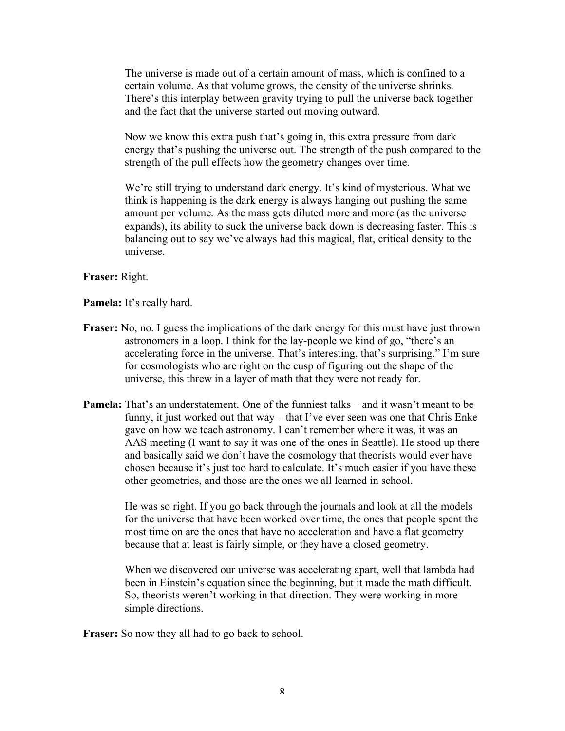The universe is made out of a certain amount of mass, which is confined to a certain volume. As that volume grows, the density of the universe shrinks. There's this interplay between gravity trying to pull the universe back together and the fact that the universe started out moving outward.

Now we know this extra push that's going in, this extra pressure from dark energy that's pushing the universe out. The strength of the push compared to the strength of the pull effects how the geometry changes over time.

We're still trying to understand dark energy. It's kind of mysterious. What we think is happening is the dark energy is always hanging out pushing the same amount per volume. As the mass gets diluted more and more (as the universe expands), its ability to suck the universe back down is decreasing faster. This is balancing out to say we've always had this magical, flat, critical density to the universe.

**Fraser:** Right.

**Pamela:** It's really hard.

- **Fraser:** No, no. I guess the implications of the dark energy for this must have just thrown astronomers in a loop. I think for the lay-people we kind of go, "there's an accelerating force in the universe. That's interesting, that's surprising." I'm sure for cosmologists who are right on the cusp of figuring out the shape of the universe, this threw in a layer of math that they were not ready for.
- **Pamela:** That's an understatement. One of the funniest talks and it wasn't meant to be funny, it just worked out that way – that I've ever seen was one that Chris Enke gave on how we teach astronomy. I can't remember where it was, it was an AAS meeting (I want to say it was one of the ones in Seattle). He stood up there and basically said we don't have the cosmology that theorists would ever have chosen because it's just too hard to calculate. It's much easier if you have these other geometries, and those are the ones we all learned in school.

He was so right. If you go back through the journals and look at all the models for the universe that have been worked over time, the ones that people spent the most time on are the ones that have no acceleration and have a flat geometry because that at least is fairly simple, or they have a closed geometry.

When we discovered our universe was accelerating apart, well that lambda had been in Einstein's equation since the beginning, but it made the math difficult. So, theorists weren't working in that direction. They were working in more simple directions.

**Fraser:** So now they all had to go back to school.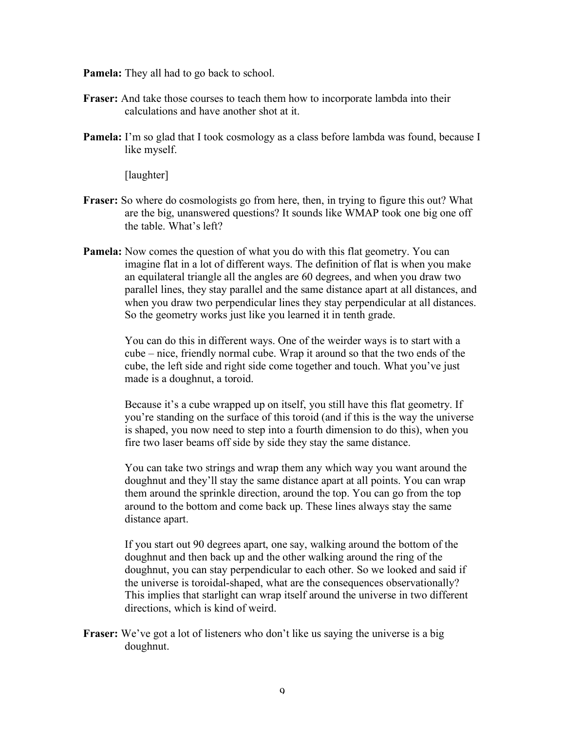**Pamela:** They all had to go back to school.

- **Fraser:** And take those courses to teach them how to incorporate lambda into their calculations and have another shot at it.
- **Pamela:** I'm so glad that I took cosmology as a class before lambda was found, because I like myself.

[laughter]

- **Fraser:** So where do cosmologists go from here, then, in trying to figure this out? What are the big, unanswered questions? It sounds like WMAP took one big one off the table. What's left?
- **Pamela:** Now comes the question of what you do with this flat geometry. You can imagine flat in a lot of different ways. The definition of flat is when you make an equilateral triangle all the angles are 60 degrees, and when you draw two parallel lines, they stay parallel and the same distance apart at all distances, and when you draw two perpendicular lines they stay perpendicular at all distances. So the geometry works just like you learned it in tenth grade.

You can do this in different ways. One of the weirder ways is to start with a cube – nice, friendly normal cube. Wrap it around so that the two ends of the cube, the left side and right side come together and touch. What you've just made is a doughnut, a toroid.

Because it's a cube wrapped up on itself, you still have this flat geometry. If you're standing on the surface of this toroid (and if this is the way the universe is shaped, you now need to step into a fourth dimension to do this), when you fire two laser beams off side by side they stay the same distance.

You can take two strings and wrap them any which way you want around the doughnut and they'll stay the same distance apart at all points. You can wrap them around the sprinkle direction, around the top. You can go from the top around to the bottom and come back up. These lines always stay the same distance apart.

If you start out 90 degrees apart, one say, walking around the bottom of the doughnut and then back up and the other walking around the ring of the doughnut, you can stay perpendicular to each other. So we looked and said if the universe is toroidal-shaped, what are the consequences observationally? This implies that starlight can wrap itself around the universe in two different directions, which is kind of weird.

**Fraser:** We've got a lot of listeners who don't like us saying the universe is a big doughnut.